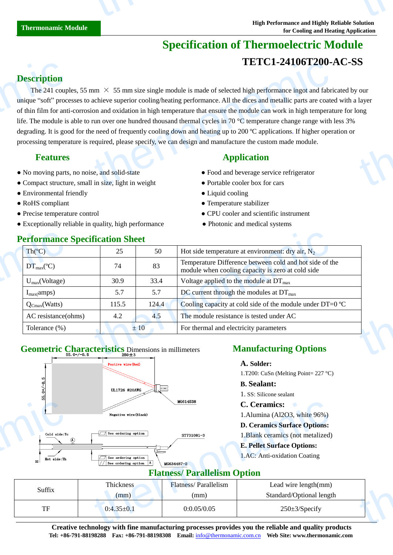# **Specification of Thermoelectric Module TETC1-24106T200-AC-SS**

## **Description**

The 241 couples, 55 mm  $\times$  55 mm size single module is made of selected high performance ingot and fabricated by our unique "soft" processes to achieve superior cooling/heating performance. All the dices and metallic parts are coated with a layer of thin film for anti-corrosion and oxidation in high temperature that ensure the module can work in high temperature for long life. The module is able to run over one hundred thousand thermal cycles in 70  $\degree$ C temperature change range with less 3% degrading. It is good for the need of frequently cooling down and heating up to 200  $\mathbb{C}$  applications. If higher operation or processing temperature is required, please specify, we can design and manufacture the custom made module. **Description**<br>The 241 coup<br>unique "soft" proc<br>of thin film for ant<br>life. The module is<br>degrading. It is goo<br>processing temper:<br>**Features**<br>No moving parts<br>Compact structu **TETCI-241001200-**<br>
IETCI-241001200-<br>
IETCI-241001200-<br>
IETCI-241001200-<br>
IETCI-241001200-<br>
IETCI-241001200-<br>
Application and fabri<br>
can and oxidation in high temperature that ensure the module can work in high temperat<br> thermonal control of the control of the control of the control of the control of the control of the control of the control of the control of the control of the control of the control of the control of the control of the co

- No moving parts, no noise, and solid-state **•** Food and beverage service refrigerator
- Compact structure, small in size, light in weight Portable cooler box for cars
- Environmental friendly Liquid cooling
- 
- 
- Exceptionally reliable in quality, high performance Photonic and medical systems

# **Performance Specification Sheet**

## **Features Application**

- 
- 
- 
- RoHS compliant <br>• Temperature stabilizer
- Precise temperature control CPU cooler and scientific instrument
	-

| Th(C)                  | 25    | 50    | Hot side temperature at environment: dry air, $N_2$                                                          |
|------------------------|-------|-------|--------------------------------------------------------------------------------------------------------------|
| $DT_{max}(\mathbb{C})$ | 74    | 83    | Temperature Difference between cold and hot side of the<br>module when cooling capacity is zero at cold side |
| $U_{max}(Voltage)$     | 30.9  | 33.4  | Voltage applied to the module at $DT_{\text{max}}$                                                           |
| $I_{max}(amps)$        | 5.7   | 5.7   | DC current through the modules at $DT_{\text{max}}$                                                          |
| $Q_{Cmax}(Watts)$      | 115.5 | 124.4 | Cooling capacity at cold side of the module under DT=0 $\mathbb{C}$                                          |
| AC resistance(ohms)    | 4.2   | 4.5   | The module resistance is tested under AC                                                                     |
| Tolerance $(\%)$       |       | ±10   | For thermal and electricity parameters                                                                       |

# Geometric Characteristics Dimensions in millimeters **Manufacturing Options**



### **A. Solder:**

1.T200: CuSn (Melting Point=  $227$  °C)

#### **B. Sealant:**

1. SS: Silicone sealant

#### **C. Ceramics:**

- 1.Alumina (Al2O3, white 96%)
- **D. Ceramics Surface Options:**
- 1.Blank ceramics (not metalized)

#### **E. Pellet Surface Options:**

# **Flatness/ Parallelism Option**

|                                                                                                                                                   |                                | MG614538                    | <b>C.</b> Ceramics:                 |  |  |  |
|---------------------------------------------------------------------------------------------------------------------------------------------------|--------------------------------|-----------------------------|-------------------------------------|--|--|--|
|                                                                                                                                                   | Negative wire (Black)          |                             | 1. Alumina (Al2O3, white 96%)       |  |  |  |
|                                                                                                                                                   |                                |                             | <b>D. Ceramics Surface Options:</b> |  |  |  |
| Cold side:Tc<br>(A)                                                                                                                               | See ordering option            | ST731081-3                  | 1. Blank ceramics (not metalized)   |  |  |  |
|                                                                                                                                                   |                                |                             | <b>E. Pellet Surface Options:</b>   |  |  |  |
| Hot side:Th<br>Ξ                                                                                                                                  | $\sqrt{ }$ See ordering option |                             | 1.AC: Anti-oxidation Coating        |  |  |  |
|                                                                                                                                                   | See ordering option A          | MG634487-2                  |                                     |  |  |  |
| <b>Flatness/ Parallelism Option</b>                                                                                                               |                                |                             |                                     |  |  |  |
| Suffix                                                                                                                                            | <b>Thickness</b>               | <b>Flatness/Parallelism</b> | Lead wire length(mm)                |  |  |  |
|                                                                                                                                                   | (mm)                           | (mm)                        | Standard/Optional length            |  |  |  |
| TF                                                                                                                                                | $0:4.35 \pm 0.1$               | 0:0.05/0.05                 | $250 \pm 3$ /Specify                |  |  |  |
| $\alpha$ and the state of the $\alpha$ -state $\alpha$ -state of the second contribution of the state of $\alpha$ -state $\alpha$ -state $\alpha$ |                                |                             |                                     |  |  |  |

**Creative technology with fine manufacturing processes provides you the reliable and quality products B. Sealant: Tel: +86-791-88198288 Fax: +86-791-88198308 Email:** info@thermonamic.com.cn **Web Site: www.thermonamic.com** Silicone sealant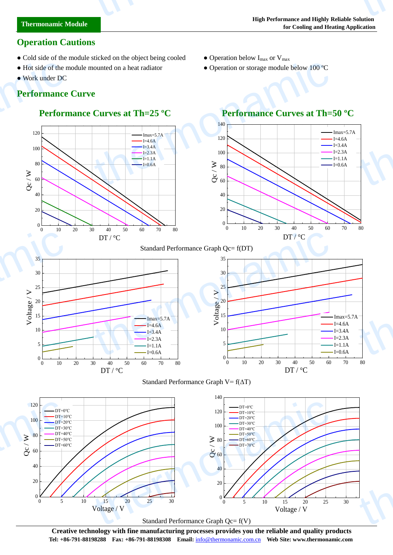## **Operation Cautions**

- Cold side of the module sticked on the object being cooled Operation below  $I_{\text{max}}$  or  $V_{\text{max}}$
- Hot side of the module mounted on a heat radiator Operation or storage module below 100  $\mathbb{C}$
- Work under DC

thermonamic

# **Performance Curve** • Hot side of the n<br>
• Work under DC<br> **Performance**<br>
Perform<br>  $\frac{120}{100}$ <br>  $\geq 0$

 $0 \longmapsto$ 

 $\begin{matrix} \mathcal{Z} & \mathcal{Z} & \mathcal{Z} \end{matrix}$ 

20

40

60

80

100

# **Performance Curves at Th=25 <sup>°</sup>C Performance Curves at Th=50 <sup>°</sup>C**

 $I=4.6A$  $-I=3.4A$  $I=2.3A$  $-I=1.1A$  $-I=0.6A$ 

120 Imax=5.7A





0 10 20 30 40 50 60 70 80

 $\sum_{\substack{0 \text{ odd} \\ 0}} 20$ <br>  $\sum_{\substack{10 \\ 10 \\ 5}}$ <br>  $\sum_{\substack{10 \\ 10 \\ 10}}$ <br>  $\sum_{\substack{1=4.6A \\ 1=3.4A \\ 1=1.1A \\ 1=0.6A \\ 1=0.6A}}$ <br>  $\sum_{\substack{1=3.4B \\ 1=2.3A \\ 1=1.1A \\ 1=0.6A}}$ <br>  $\sum_{\substack{10 \\ 10 \\ 10 \\ 20 \\ 30 \\ 40 \\ 50 \\ 60 \\ 70}$ 

Imax=5.7A  $I=4.6A$  $I=3.4A$  $I=2.3A$  $I=1.1A$  $I=0.6A$ 

# 0 10 20 30 40 50 60 70 80





 $DT / C$ 



 $0\begin{array}{c} 0 \\ 0 \end{array}$  10

 $5 \leftarrow$ 

 $15 \sim$ 

 $20 \sim$ 

10

25

30

35



**Creative technology with fine manufacturing processes provides you the reliable and quality products Tel: +86-791-88198288 Fax: +86-791-88198308 Email:** info@thermonamic.com.cn **Web Site: www.thermonamic.com**